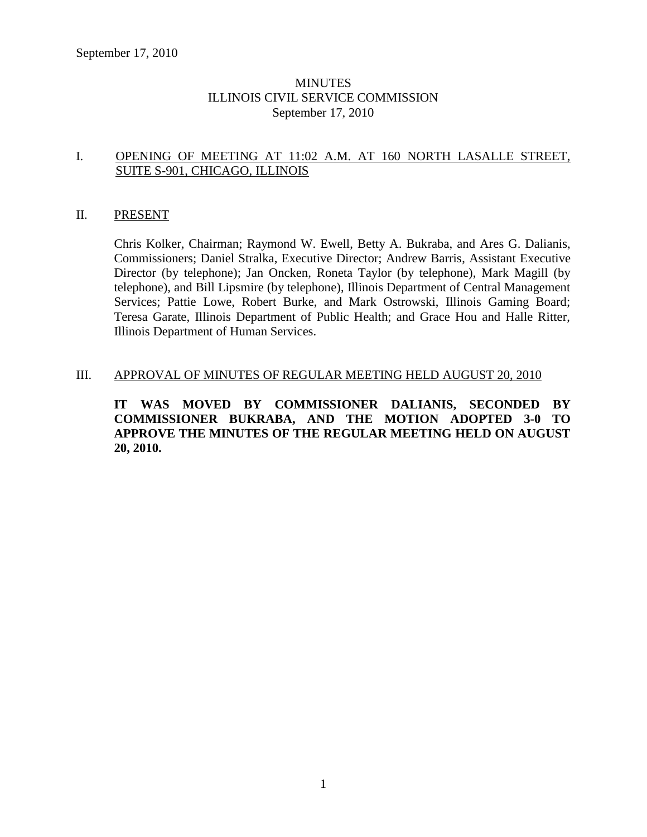# **MINUTES** ILLINOIS CIVIL SERVICE COMMISSION September 17, 2010

# I. OPENING OF MEETING AT 11:02 A.M. AT 160 NORTH LASALLE STREET, SUITE S-901, CHICAGO, ILLINOIS

# II. PRESENT

Chris Kolker, Chairman; Raymond W. Ewell, Betty A. Bukraba, and Ares G. Dalianis, Commissioners; Daniel Stralka, Executive Director; Andrew Barris, Assistant Executive Director (by telephone); Jan Oncken, Roneta Taylor (by telephone), Mark Magill (by telephone), and Bill Lipsmire (by telephone), Illinois Department of Central Management Services; Pattie Lowe, Robert Burke, and Mark Ostrowski, Illinois Gaming Board; Teresa Garate, Illinois Department of Public Health; and Grace Hou and Halle Ritter, Illinois Department of Human Services.

# III. APPROVAL OF MINUTES OF REGULAR MEETING HELD AUGUST 20, 2010

**IT WAS MOVED BY COMMISSIONER DALIANIS, SECONDED BY COMMISSIONER BUKRABA, AND THE MOTION ADOPTED 3-0 TO APPROVE THE MINUTES OF THE REGULAR MEETING HELD ON AUGUST 20, 2010.**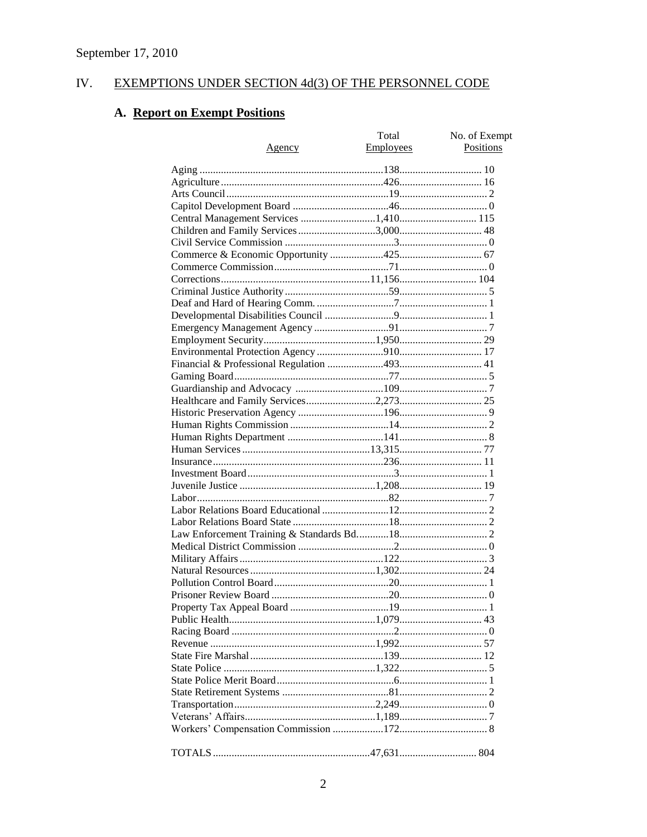#### IV. EXEMPTIONS UNDER SECTION 4d(3) OF THE PERSONNEL CODE

# A. Report on Exempt Positions

|        | Total     | No. of Exempt |
|--------|-----------|---------------|
| Agency | Employees | Positions     |
|        |           |               |
|        |           |               |
|        |           |               |
|        |           |               |
|        |           |               |
|        |           |               |
|        |           |               |
|        |           |               |
|        |           |               |
|        |           |               |
|        |           |               |
|        |           |               |
|        |           |               |
|        |           |               |
|        |           |               |
|        |           |               |
|        |           |               |
|        |           |               |
|        |           |               |
|        |           |               |
|        |           |               |
|        |           |               |
|        |           |               |
|        |           |               |
|        |           |               |
|        |           |               |
|        |           |               |
|        |           |               |
|        |           |               |
|        |           |               |
|        |           |               |
|        |           |               |
|        |           |               |
|        |           |               |
|        |           |               |
|        |           |               |
|        |           |               |
|        |           |               |
|        |           |               |
|        |           |               |
|        |           |               |
|        |           |               |
|        |           |               |
|        |           |               |
|        |           |               |
|        |           |               |
|        |           |               |
|        |           |               |
|        |           |               |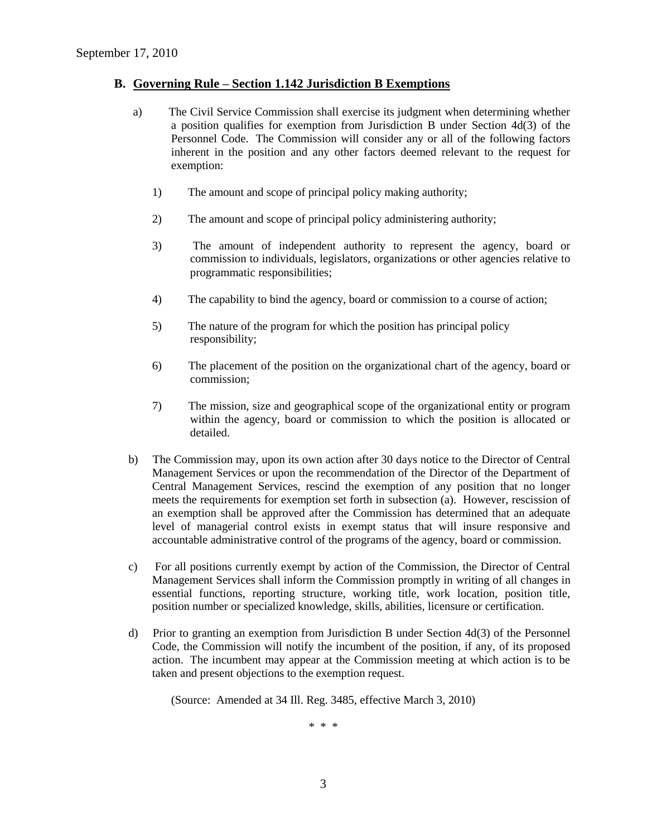### **B. Governing Rule – Section 1.142 Jurisdiction B Exemptions**

- a) The Civil Service Commission shall exercise its judgment when determining whether a position qualifies for exemption from Jurisdiction B under Section 4d(3) of the Personnel Code. The Commission will consider any or all of the following factors inherent in the position and any other factors deemed relevant to the request for exemption:
	- 1) The amount and scope of principal policy making authority;
	- 2) The amount and scope of principal policy administering authority;
	- 3) The amount of independent authority to represent the agency, board or commission to individuals, legislators, organizations or other agencies relative to programmatic responsibilities;
	- 4) The capability to bind the agency, board or commission to a course of action;
	- 5) The nature of the program for which the position has principal policy responsibility;
	- 6) The placement of the position on the organizational chart of the agency, board or commission;
	- 7) The mission, size and geographical scope of the organizational entity or program within the agency, board or commission to which the position is allocated or detailed.
- b) The Commission may, upon its own action after 30 days notice to the Director of Central Management Services or upon the recommendation of the Director of the Department of Central Management Services, rescind the exemption of any position that no longer meets the requirements for exemption set forth in subsection (a). However, rescission of an exemption shall be approved after the Commission has determined that an adequate level of managerial control exists in exempt status that will insure responsive and accountable administrative control of the programs of the agency, board or commission.
- c) For all positions currently exempt by action of the Commission, the Director of Central Management Services shall inform the Commission promptly in writing of all changes in essential functions, reporting structure, working title, work location, position title, position number or specialized knowledge, skills, abilities, licensure or certification.
- d) Prior to granting an exemption from Jurisdiction B under Section 4d(3) of the Personnel Code, the Commission will notify the incumbent of the position, if any, of its proposed action. The incumbent may appear at the Commission meeting at which action is to be taken and present objections to the exemption request.

(Source: Amended at 34 Ill. Reg. 3485, effective March 3, 2010)

\* \* \*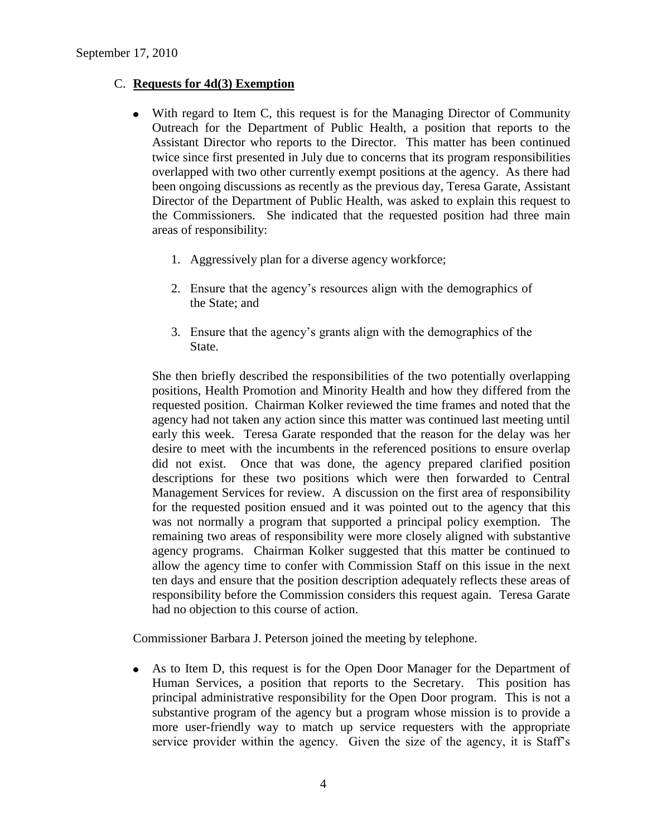# C. **Requests for 4d(3) Exemption**

- $\bullet$ With regard to Item C, this request is for the Managing Director of Community Outreach for the Department of Public Health, a position that reports to the Assistant Director who reports to the Director. This matter has been continued twice since first presented in July due to concerns that its program responsibilities overlapped with two other currently exempt positions at the agency. As there had been ongoing discussions as recently as the previous day, Teresa Garate, Assistant Director of the Department of Public Health, was asked to explain this request to the Commissioners. She indicated that the requested position had three main areas of responsibility:
	- 1. Aggressively plan for a diverse agency workforce;
	- 2. Ensure that the agency's resources align with the demographics of the State; and
	- 3. Ensure that the agency's grants align with the demographics of the State.

She then briefly described the responsibilities of the two potentially overlapping positions, Health Promotion and Minority Health and how they differed from the requested position. Chairman Kolker reviewed the time frames and noted that the agency had not taken any action since this matter was continued last meeting until early this week. Teresa Garate responded that the reason for the delay was her desire to meet with the incumbents in the referenced positions to ensure overlap did not exist. Once that was done, the agency prepared clarified position descriptions for these two positions which were then forwarded to Central Management Services for review. A discussion on the first area of responsibility for the requested position ensued and it was pointed out to the agency that this was not normally a program that supported a principal policy exemption. The remaining two areas of responsibility were more closely aligned with substantive agency programs. Chairman Kolker suggested that this matter be continued to allow the agency time to confer with Commission Staff on this issue in the next ten days and ensure that the position description adequately reflects these areas of responsibility before the Commission considers this request again. Teresa Garate had no objection to this course of action.

Commissioner Barbara J. Peterson joined the meeting by telephone.

 $\bullet$ As to Item D, this request is for the Open Door Manager for the Department of Human Services, a position that reports to the Secretary. This position has principal administrative responsibility for the Open Door program. This is not a substantive program of the agency but a program whose mission is to provide a more user-friendly way to match up service requesters with the appropriate service provider within the agency. Given the size of the agency, it is Staff's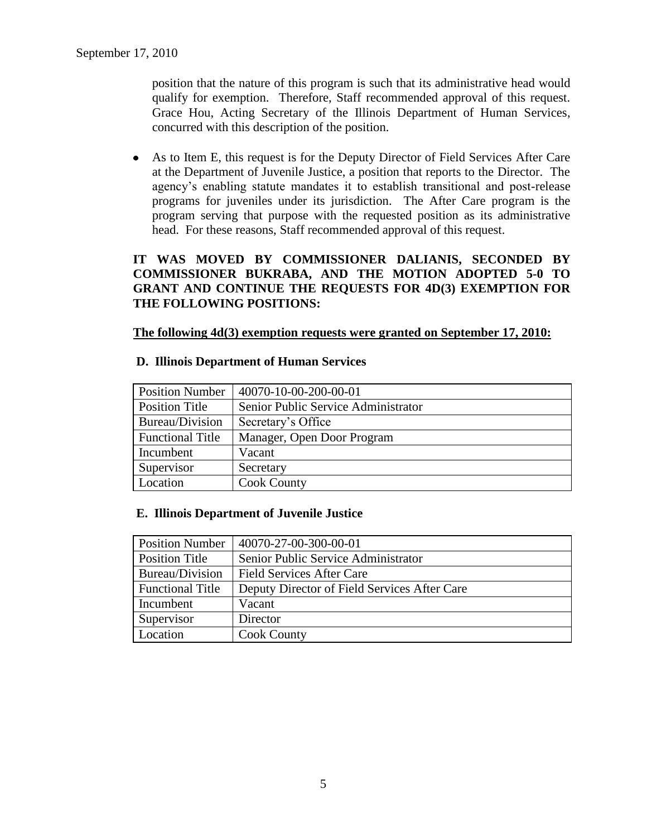position that the nature of this program is such that its administrative head would qualify for exemption. Therefore, Staff recommended approval of this request. Grace Hou, Acting Secretary of the Illinois Department of Human Services, concurred with this description of the position.

As to Item E, this request is for the Deputy Director of Field Services After Care at the Department of Juvenile Justice, a position that reports to the Director. The agency's enabling statute mandates it to establish transitional and post-release programs for juveniles under its jurisdiction. The After Care program is the program serving that purpose with the requested position as its administrative head. For these reasons, Staff recommended approval of this request.

# **IT WAS MOVED BY COMMISSIONER DALIANIS, SECONDED BY COMMISSIONER BUKRABA, AND THE MOTION ADOPTED 5-0 TO GRANT AND CONTINUE THE REQUESTS FOR 4D(3) EXEMPTION FOR THE FOLLOWING POSITIONS:**

# **The following 4d(3) exemption requests were granted on September 17, 2010:**

# **D. Illinois Department of Human Services**

| <b>Position Number</b>  | 40070-10-00-200-00-01               |
|-------------------------|-------------------------------------|
| <b>Position Title</b>   | Senior Public Service Administrator |
| Bureau/Division         | Secretary's Office                  |
| <b>Functional Title</b> | Manager, Open Door Program          |
| Incumbent               | Vacant                              |
| Supervisor              | Secretary                           |
| Location                | <b>Cook County</b>                  |

# **E. Illinois Department of Juvenile Justice**

| <b>Position Number</b>  | 40070-27-00-300-00-01                        |
|-------------------------|----------------------------------------------|
| Position Title          | Senior Public Service Administrator          |
| Bureau/Division         | <b>Field Services After Care</b>             |
| <b>Functional Title</b> | Deputy Director of Field Services After Care |
| Incumbent               | Vacant                                       |
| Supervisor              | Director                                     |
| Location                | <b>Cook County</b>                           |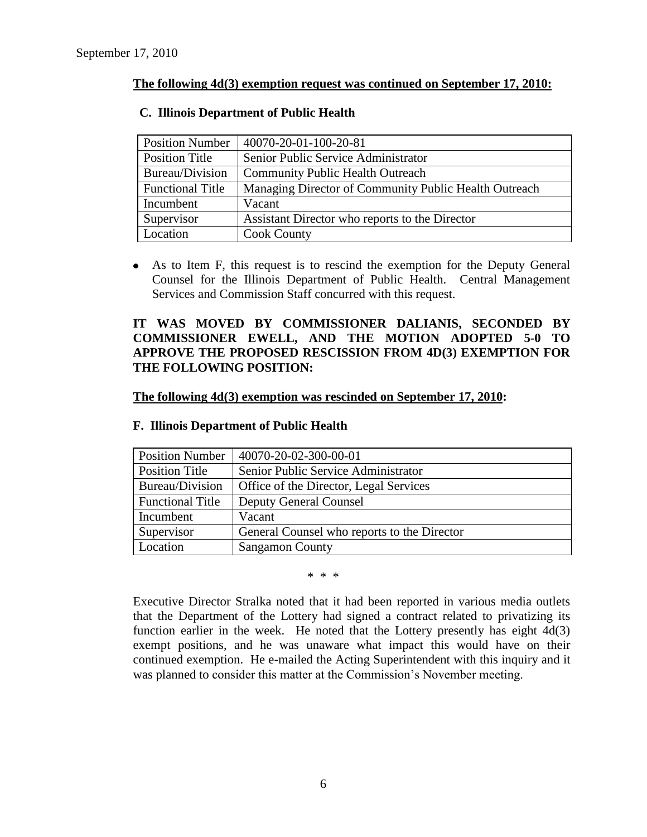# **The following 4d(3) exemption request was continued on September 17, 2010:**

# **C. Illinois Department of Public Health**

| <b>Position Number</b>  | 40070-20-01-100-20-81                                 |
|-------------------------|-------------------------------------------------------|
| Position Title          | Senior Public Service Administrator                   |
| Bureau/Division         | <b>Community Public Health Outreach</b>               |
| <b>Functional Title</b> | Managing Director of Community Public Health Outreach |
| Incumbent               | Vacant                                                |
| Supervisor              | Assistant Director who reports to the Director        |
| Location                | <b>Cook County</b>                                    |

As to Item F, this request is to rescind the exemption for the Deputy General Counsel for the Illinois Department of Public Health. Central Management Services and Commission Staff concurred with this request.

# **IT WAS MOVED BY COMMISSIONER DALIANIS, SECONDED BY COMMISSIONER EWELL, AND THE MOTION ADOPTED 5-0 TO APPROVE THE PROPOSED RESCISSION FROM 4D(3) EXEMPTION FOR THE FOLLOWING POSITION:**

### **The following 4d(3) exemption was rescinded on September 17, 2010:**

| <b>Position Number</b>  | 40070-20-02-300-00-01                       |
|-------------------------|---------------------------------------------|
| Position Title          | Senior Public Service Administrator         |
| Bureau/Division         | Office of the Director, Legal Services      |
| <b>Functional Title</b> | <b>Deputy General Counsel</b>               |
| Incumbent               | Vacant                                      |
| Supervisor              | General Counsel who reports to the Director |
| Location                | <b>Sangamon County</b>                      |

#### **F. Illinois Department of Public Health**

### \* \* \*

Executive Director Stralka noted that it had been reported in various media outlets that the Department of the Lottery had signed a contract related to privatizing its function earlier in the week. He noted that the Lottery presently has eight 4d(3) exempt positions, and he was unaware what impact this would have on their continued exemption. He e-mailed the Acting Superintendent with this inquiry and it was planned to consider this matter at the Commission's November meeting.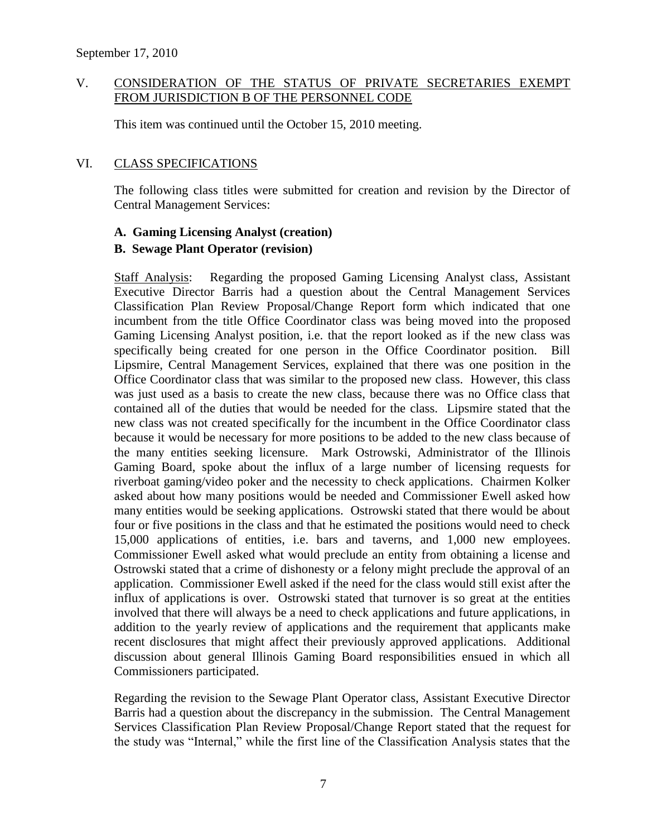# V. CONSIDERATION OF THE STATUS OF PRIVATE SECRETARIES EXEMPT FROM JURISDICTION B OF THE PERSONNEL CODE

This item was continued until the October 15, 2010 meeting.

# VI. CLASS SPECIFICATIONS

The following class titles were submitted for creation and revision by the Director of Central Management Services:

# **A. Gaming Licensing Analyst (creation)**

# **B. Sewage Plant Operator (revision)**

Staff Analysis: Regarding the proposed Gaming Licensing Analyst class, Assistant Executive Director Barris had a question about the Central Management Services Classification Plan Review Proposal/Change Report form which indicated that one incumbent from the title Office Coordinator class was being moved into the proposed Gaming Licensing Analyst position, i.e. that the report looked as if the new class was specifically being created for one person in the Office Coordinator position. Bill Lipsmire, Central Management Services, explained that there was one position in the Office Coordinator class that was similar to the proposed new class. However, this class was just used as a basis to create the new class, because there was no Office class that contained all of the duties that would be needed for the class. Lipsmire stated that the new class was not created specifically for the incumbent in the Office Coordinator class because it would be necessary for more positions to be added to the new class because of the many entities seeking licensure. Mark Ostrowski, Administrator of the Illinois Gaming Board, spoke about the influx of a large number of licensing requests for riverboat gaming/video poker and the necessity to check applications. Chairmen Kolker asked about how many positions would be needed and Commissioner Ewell asked how many entities would be seeking applications. Ostrowski stated that there would be about four or five positions in the class and that he estimated the positions would need to check 15,000 applications of entities, i.e. bars and taverns, and 1,000 new employees. Commissioner Ewell asked what would preclude an entity from obtaining a license and Ostrowski stated that a crime of dishonesty or a felony might preclude the approval of an application. Commissioner Ewell asked if the need for the class would still exist after the influx of applications is over. Ostrowski stated that turnover is so great at the entities involved that there will always be a need to check applications and future applications, in addition to the yearly review of applications and the requirement that applicants make recent disclosures that might affect their previously approved applications. Additional discussion about general Illinois Gaming Board responsibilities ensued in which all Commissioners participated.

Regarding the revision to the Sewage Plant Operator class, Assistant Executive Director Barris had a question about the discrepancy in the submission. The Central Management Services Classification Plan Review Proposal/Change Report stated that the request for the study was "Internal," while the first line of the Classification Analysis states that the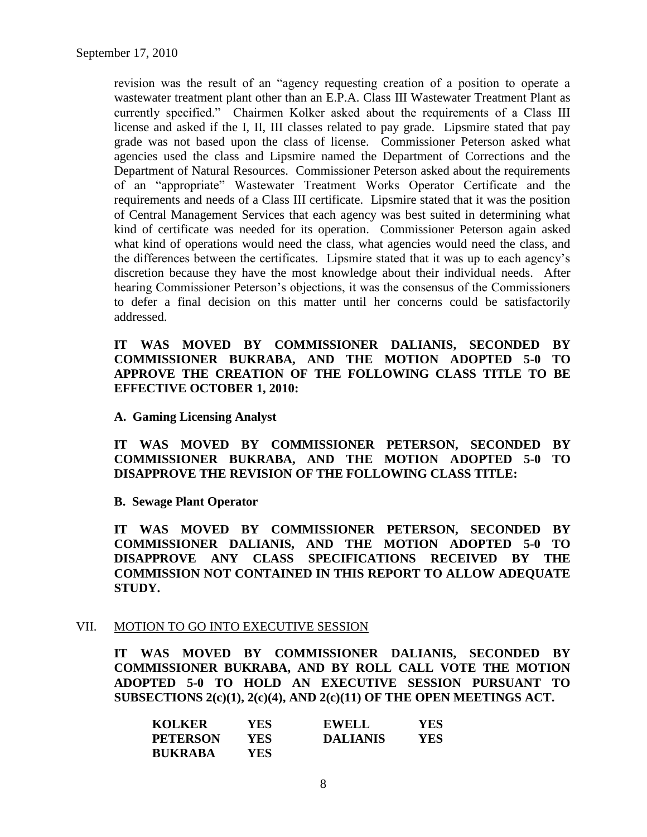revision was the result of an "agency requesting creation of a position to operate a wastewater treatment plant other than an E.P.A. Class III Wastewater Treatment Plant as currently specified." Chairmen Kolker asked about the requirements of a Class III license and asked if the I, II, III classes related to pay grade. Lipsmire stated that pay grade was not based upon the class of license. Commissioner Peterson asked what agencies used the class and Lipsmire named the Department of Corrections and the Department of Natural Resources. Commissioner Peterson asked about the requirements of an "appropriate" Wastewater Treatment Works Operator Certificate and the requirements and needs of a Class III certificate. Lipsmire stated that it was the position of Central Management Services that each agency was best suited in determining what kind of certificate was needed for its operation. Commissioner Peterson again asked what kind of operations would need the class, what agencies would need the class, and the differences between the certificates. Lipsmire stated that it was up to each agency's discretion because they have the most knowledge about their individual needs. After hearing Commissioner Peterson's objections, it was the consensus of the Commissioners to defer a final decision on this matter until her concerns could be satisfactorily addressed.

# **IT WAS MOVED BY COMMISSIONER DALIANIS, SECONDED BY COMMISSIONER BUKRABA, AND THE MOTION ADOPTED 5-0 TO APPROVE THE CREATION OF THE FOLLOWING CLASS TITLE TO BE EFFECTIVE OCTOBER 1, 2010:**

**A. Gaming Licensing Analyst** 

**IT WAS MOVED BY COMMISSIONER PETERSON, SECONDED BY COMMISSIONER BUKRABA, AND THE MOTION ADOPTED 5-0 TO DISAPPROVE THE REVISION OF THE FOLLOWING CLASS TITLE:**

**B. Sewage Plant Operator** 

**IT WAS MOVED BY COMMISSIONER PETERSON, SECONDED BY COMMISSIONER DALIANIS, AND THE MOTION ADOPTED 5-0 TO DISAPPROVE ANY CLASS SPECIFICATIONS RECEIVED BY THE COMMISSION NOT CONTAINED IN THIS REPORT TO ALLOW ADEQUATE STUDY.** 

#### VII. MOTION TO GO INTO EXECUTIVE SESSION

**IT WAS MOVED BY COMMISSIONER DALIANIS, SECONDED BY COMMISSIONER BUKRABA, AND BY ROLL CALL VOTE THE MOTION ADOPTED 5-0 TO HOLD AN EXECUTIVE SESSION PURSUANT TO SUBSECTIONS 2(c)(1), 2(c)(4), AND 2(c)(11) OF THE OPEN MEETINGS ACT.** 

| <b>KOLKER</b>   | YES  | <b>EWELL</b>    | <b>YES</b> |
|-----------------|------|-----------------|------------|
| <b>PETERSON</b> | YES. | <b>DALIANIS</b> | YES        |
| <b>BUKRABA</b>  | YES. |                 |            |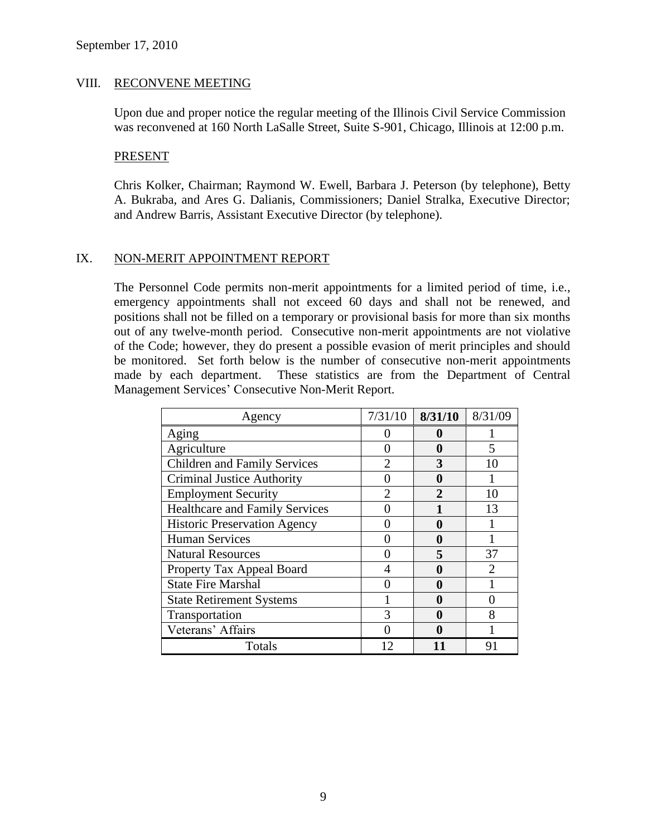### VIII. RECONVENE MEETING

Upon due and proper notice the regular meeting of the Illinois Civil Service Commission was reconvened at 160 North LaSalle Street, Suite S-901, Chicago, Illinois at 12:00 p.m.

#### PRESENT

Chris Kolker, Chairman; Raymond W. Ewell, Barbara J. Peterson (by telephone), Betty A. Bukraba, and Ares G. Dalianis, Commissioners; Daniel Stralka, Executive Director; and Andrew Barris, Assistant Executive Director (by telephone).

# IX. NON-MERIT APPOINTMENT REPORT

The Personnel Code permits non-merit appointments for a limited period of time, i.e., emergency appointments shall not exceed 60 days and shall not be renewed, and positions shall not be filled on a temporary or provisional basis for more than six months out of any twelve-month period. Consecutive non-merit appointments are not violative of the Code; however, they do present a possible evasion of merit principles and should be monitored. Set forth below is the number of consecutive non-merit appointments made by each department. These statistics are from the Department of Central Management Services' Consecutive Non-Merit Report.

| Agency                                | 7/31/10        | 8/31/10      | 8/31/09                     |
|---------------------------------------|----------------|--------------|-----------------------------|
| Aging                                 |                | 0            |                             |
| Agriculture                           | 0              | $\mathbf 0$  | 5                           |
| <b>Children and Family Services</b>   |                | 3            | 10                          |
| <b>Criminal Justice Authority</b>     |                | 0            |                             |
| <b>Employment Security</b>            | $\overline{2}$ | $\mathbf{2}$ | 10                          |
| <b>Healthcare and Family Services</b> |                |              | 13                          |
| <b>Historic Preservation Agency</b>   |                | 0            |                             |
| <b>Human Services</b>                 |                | 0            |                             |
| <b>Natural Resources</b>              |                | 5            | 37                          |
| Property Tax Appeal Board             |                | 0            | $\mathcal{D}_{\mathcal{L}}$ |
| <b>State Fire Marshal</b>             |                | 0            |                             |
| <b>State Retirement Systems</b>       |                | 0            |                             |
| Transportation                        | 3              | 0            | 8                           |
| Veterans' Affairs                     |                | 0            |                             |
| Totals                                | 12             |              | 91                          |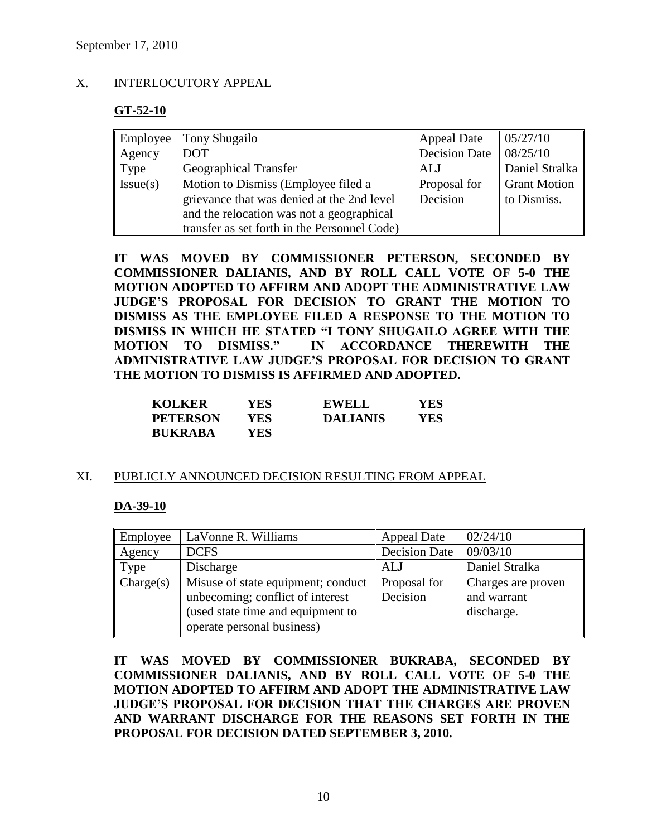# X. INTERLOCUTORY APPEAL

# **GT-52-10**

| Employee | Tony Shugailo                                | <b>Appeal Date</b>   | 05/27/10            |
|----------|----------------------------------------------|----------------------|---------------------|
| Agency   | <b>DOT</b>                                   | <b>Decision Date</b> | 08/25/10            |
| Type     | Geographical Transfer                        | ALJ                  | Daniel Stralka      |
| Issue(s) | Motion to Dismiss (Employee filed a          | Proposal for         | <b>Grant Motion</b> |
|          | grievance that was denied at the 2nd level   | Decision             | to Dismiss.         |
|          | and the relocation was not a geographical    |                      |                     |
|          | transfer as set forth in the Personnel Code) |                      |                     |

**IT WAS MOVED BY COMMISSIONER PETERSON, SECONDED BY COMMISSIONER DALIANIS, AND BY ROLL CALL VOTE OF 5-0 THE MOTION ADOPTED TO AFFIRM AND ADOPT THE ADMINISTRATIVE LAW JUDGE'S PROPOSAL FOR DECISION TO GRANT THE MOTION TO DISMISS AS THE EMPLOYEE FILED A RESPONSE TO THE MOTION TO DISMISS IN WHICH HE STATED "I TONY SHUGAILO AGREE WITH THE MOTION TO DISMISS." IN ACCORDANCE THEREWITH THE ADMINISTRATIVE LAW JUDGE'S PROPOSAL FOR DECISION TO GRANT THE MOTION TO DISMISS IS AFFIRMED AND ADOPTED.**

| <b>KOLKER</b>   | YES | <b>EWELL</b>    | YES |
|-----------------|-----|-----------------|-----|
| <b>PETERSON</b> | YES | <b>DALIANIS</b> | YES |
| <b>BUKRABA</b>  | YES |                 |     |

# XI. PUBLICLY ANNOUNCED DECISION RESULTING FROM APPEAL

# **DA-39-10**

| Employee  | LaVonne R. Williams                                                                                                                       | <b>Appeal Date</b>       | 02/24/10                                        |
|-----------|-------------------------------------------------------------------------------------------------------------------------------------------|--------------------------|-------------------------------------------------|
| Agency    | <b>DCFS</b>                                                                                                                               | <b>Decision Date</b>     | 09/03/10                                        |
| Type      | Discharge                                                                                                                                 | ALJ                      | Daniel Stralka                                  |
| Change(s) | Misuse of state equipment; conduct<br>unbecoming; conflict of interest<br>(used state time and equipment to<br>operate personal business) | Proposal for<br>Decision | Charges are proven<br>and warrant<br>discharge. |

**IT WAS MOVED BY COMMISSIONER BUKRABA, SECONDED BY COMMISSIONER DALIANIS, AND BY ROLL CALL VOTE OF 5-0 THE MOTION ADOPTED TO AFFIRM AND ADOPT THE ADMINISTRATIVE LAW JUDGE'S PROPOSAL FOR DECISION THAT THE CHARGES ARE PROVEN AND WARRANT DISCHARGE FOR THE REASONS SET FORTH IN THE PROPOSAL FOR DECISION DATED SEPTEMBER 3, 2010.**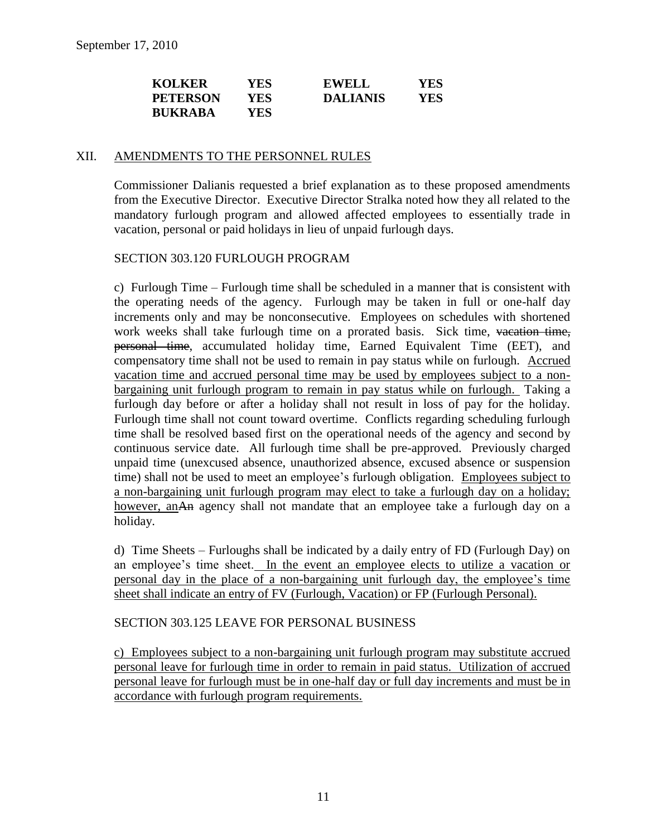| <b>KOLKER</b>   | YES  | <b>EWELL</b>    | YES |
|-----------------|------|-----------------|-----|
| <b>PETERSON</b> | YES  | <b>DALIANIS</b> | YES |
| <b>BUKRABA</b>  | YES. |                 |     |

### XII. AMENDMENTS TO THE PERSONNEL RULES

Commissioner Dalianis requested a brief explanation as to these proposed amendments from the Executive Director. Executive Director Stralka noted how they all related to the mandatory furlough program and allowed affected employees to essentially trade in vacation, personal or paid holidays in lieu of unpaid furlough days.

# SECTION 303.120 FURLOUGH PROGRAM

c) Furlough Time – Furlough time shall be scheduled in a manner that is consistent with the operating needs of the agency. Furlough may be taken in full or one-half day increments only and may be nonconsecutive. Employees on schedules with shortened work weeks shall take furlough time on a prorated basis. Sick time, vacation time, personal time, accumulated holiday time, Earned Equivalent Time (EET), and compensatory time shall not be used to remain in pay status while on furlough. Accrued vacation time and accrued personal time may be used by employees subject to a nonbargaining unit furlough program to remain in pay status while on furlough. Taking a furlough day before or after a holiday shall not result in loss of pay for the holiday. Furlough time shall not count toward overtime. Conflicts regarding scheduling furlough time shall be resolved based first on the operational needs of the agency and second by continuous service date. All furlough time shall be pre-approved. Previously charged unpaid time (unexcused absence, unauthorized absence, excused absence or suspension time) shall not be used to meet an employee's furlough obligation. Employees subject to a non-bargaining unit furlough program may elect to take a furlough day on a holiday; however, an An agency shall not mandate that an employee take a furlough day on a holiday.

d) Time Sheets – Furloughs shall be indicated by a daily entry of FD (Furlough Day) on an employee's time sheet. In the event an employee elects to utilize a vacation or personal day in the place of a non-bargaining unit furlough day, the employee's time sheet shall indicate an entry of FV (Furlough, Vacation) or FP (Furlough Personal).

# SECTION 303.125 LEAVE FOR PERSONAL BUSINESS

c) Employees subject to a non-bargaining unit furlough program may substitute accrued personal leave for furlough time in order to remain in paid status. Utilization of accrued personal leave for furlough must be in one-half day or full day increments and must be in accordance with furlough program requirements.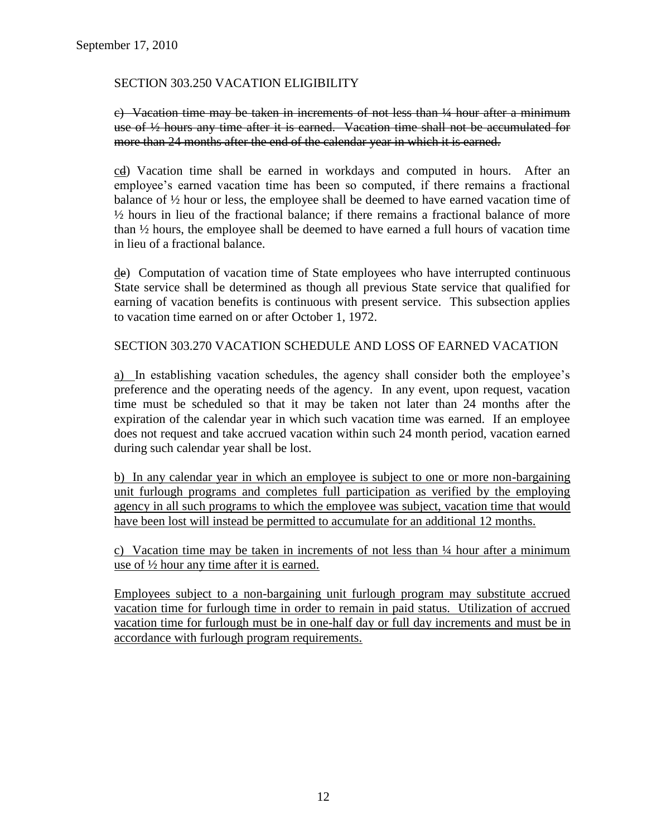# SECTION 303.250 VACATION ELIGIBILITY

c) Vacation time may be taken in increments of not less than ¼ hour after a minimum use of ½ hours any time after it is earned. Vacation time shall not be accumulated for more than 24 months after the end of the calendar year in which it is earned.

cd) Vacation time shall be earned in workdays and computed in hours. After an employee's earned vacation time has been so computed, if there remains a fractional balance of ½ hour or less, the employee shall be deemed to have earned vacation time of ½ hours in lieu of the fractional balance; if there remains a fractional balance of more than ½ hours, the employee shall be deemed to have earned a full hours of vacation time in lieu of a fractional balance.

de) Computation of vacation time of State employees who have interrupted continuous State service shall be determined as though all previous State service that qualified for earning of vacation benefits is continuous with present service. This subsection applies to vacation time earned on or after October 1, 1972.

SECTION 303.270 VACATION SCHEDULE AND LOSS OF EARNED VACATION

a) In establishing vacation schedules, the agency shall consider both the employee's preference and the operating needs of the agency. In any event, upon request, vacation time must be scheduled so that it may be taken not later than 24 months after the expiration of the calendar year in which such vacation time was earned. If an employee does not request and take accrued vacation within such 24 month period, vacation earned during such calendar year shall be lost.

b) In any calendar year in which an employee is subject to one or more non-bargaining unit furlough programs and completes full participation as verified by the employing agency in all such programs to which the employee was subject, vacation time that would have been lost will instead be permitted to accumulate for an additional 12 months.

c) Vacation time may be taken in increments of not less than ¼ hour after a minimum use of ½ hour any time after it is earned.

Employees subject to a non-bargaining unit furlough program may substitute accrued vacation time for furlough time in order to remain in paid status. Utilization of accrued vacation time for furlough must be in one-half day or full day increments and must be in accordance with furlough program requirements.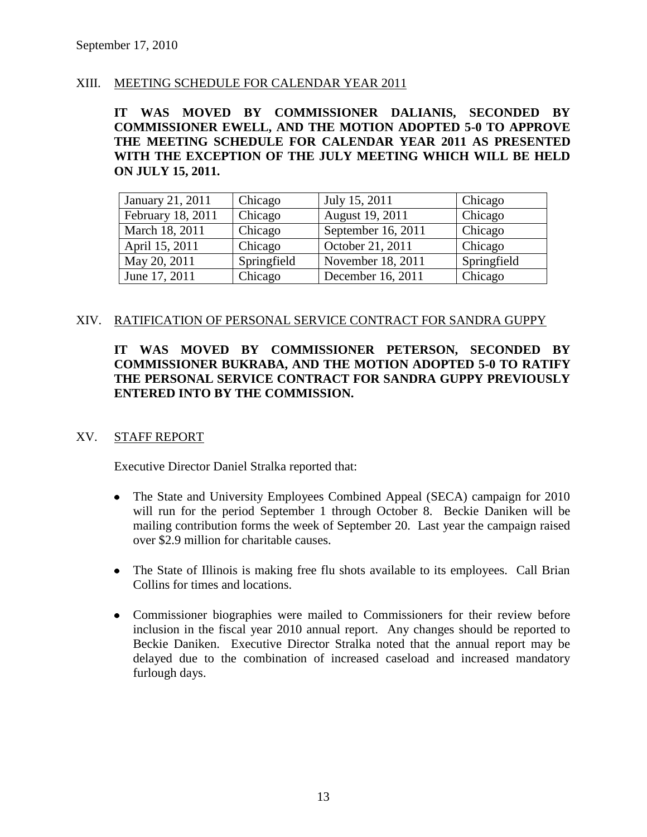# XIII. MEETING SCHEDULE FOR CALENDAR YEAR 2011

**IT WAS MOVED BY COMMISSIONER DALIANIS, SECONDED BY COMMISSIONER EWELL, AND THE MOTION ADOPTED 5-0 TO APPROVE THE MEETING SCHEDULE FOR CALENDAR YEAR 2011 AS PRESENTED WITH THE EXCEPTION OF THE JULY MEETING WHICH WILL BE HELD ON JULY 15, 2011.**

| January 21, 2011  | Chicago     | July 15, 2011      | Chicago     |
|-------------------|-------------|--------------------|-------------|
| February 18, 2011 | Chicago     | August 19, 2011    | Chicago     |
| March 18, 2011    | Chicago     | September 16, 2011 | Chicago     |
| April 15, 2011    | Chicago     | October 21, 2011   | Chicago     |
| May 20, 2011      | Springfield | November 18, 2011  | Springfield |
| June 17, 2011     | Chicago     | December 16, 2011  | Chicago     |

### XIV. RATIFICATION OF PERSONAL SERVICE CONTRACT FOR SANDRA GUPPY

# **IT WAS MOVED BY COMMISSIONER PETERSON, SECONDED BY COMMISSIONER BUKRABA, AND THE MOTION ADOPTED 5-0 TO RATIFY THE PERSONAL SERVICE CONTRACT FOR SANDRA GUPPY PREVIOUSLY ENTERED INTO BY THE COMMISSION.**

# XV. STAFF REPORT

Executive Director Daniel Stralka reported that:

- The State and University Employees Combined Appeal (SECA) campaign for 2010 will run for the period September 1 through October 8. Beckie Daniken will be mailing contribution forms the week of September 20. Last year the campaign raised over \$2.9 million for charitable causes.
- The State of Illinois is making free flu shots available to its employees. Call Brian Collins for times and locations.
- Commissioner biographies were mailed to Commissioners for their review before inclusion in the fiscal year 2010 annual report. Any changes should be reported to Beckie Daniken. Executive Director Stralka noted that the annual report may be delayed due to the combination of increased caseload and increased mandatory furlough days.